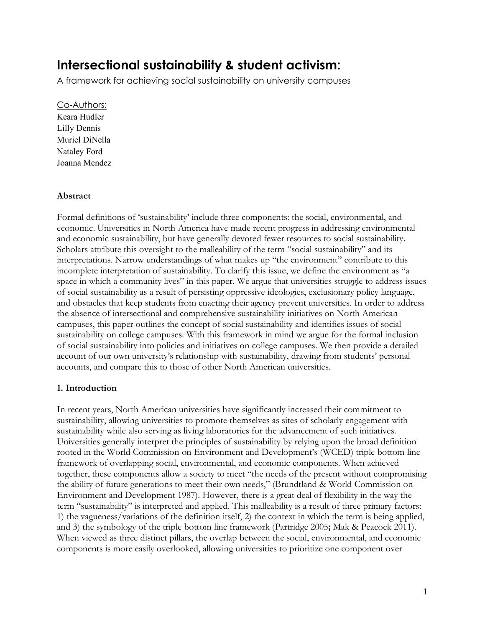# **Intersectional sustainability & student activism:**

A framework for achieving social sustainability on university campuses

## Co-Authors:

Keara Hudler Lilly Dennis Muriel DiNella Nataley Ford Joanna Mendez

# **Abstract**

Formal definitions of 'sustainability' include three components: the social, environmental, and economic. Universities in North America have made recent progress in addressing environmental and economic sustainability, but have generally devoted fewer resources to social sustainability. Scholars attribute this oversight to the malleability of the term "social sustainability" and its interpretations. Narrow understandings of what makes up "the environment" contribute to this incomplete interpretation of sustainability. To clarify this issue, we define the environment as "a space in which a community lives" in this paper. We argue that universities struggle to address issues of social sustainability as a result of persisting oppressive ideologies, exclusionary policy language, and obstacles that keep students from enacting their agency prevent universities. In order to address the absence of intersectional and comprehensive sustainability initiatives on North American campuses, this paper outlines the concept of social sustainability and identifies issues of social sustainability on college campuses. With this framework in mind we argue for the formal inclusion of social sustainability into policies and initiatives on college campuses. We then provide a detailed account of our own university's relationship with sustainability, drawing from students' personal accounts, and compare this to those of other North American universities.

# **1. Introduction**

In recent years, North American universities have significantly increased their commitment to sustainability, allowing universities to promote themselves as sites of scholarly engagement with sustainability while also serving as living laboratories for the advancement of such initiatives. Universities generally interpret the principles of sustainability by relying upon the broad definition rooted in the World Commission on Environment and Development's (WCED) triple bottom line framework of overlapping social, environmental, and economic components. When achieved together, these components allow a society to meet "the needs of the present without compromising the ability of future generations to meet their own needs," (Brundtland & World Commission on Environment and Development 1987). However, there is a great deal of flexibility in the way the term "sustainability" is interpreted and applied. This malleability is a result of three primary factors: 1) the vagueness/variations of the definition itself, 2) the context in which the term is being applied, and 3) the symbology of the triple bottom line framework (Partridge 2005**;** Mak & Peacock 2011). When viewed as three distinct pillars, the overlap between the social, environmental, and economic components is more easily overlooked, allowing universities to prioritize one component over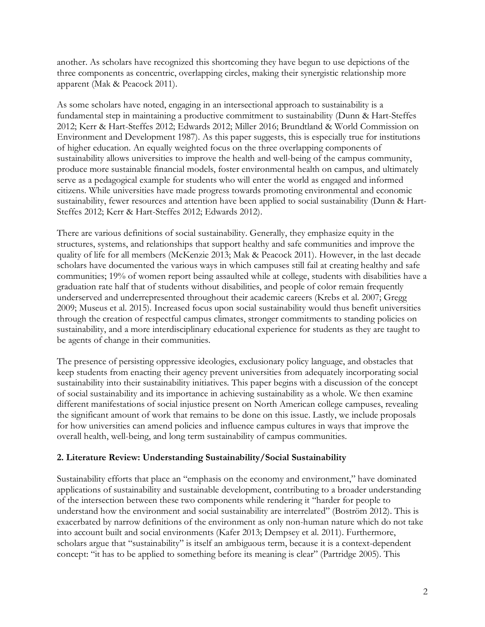another. As scholars have recognized this shortcoming they have begun to use depictions of the three components as concentric, overlapping circles, making their synergistic relationship more apparent (Mak & Peacock 2011).

As some scholars have noted, engaging in an intersectional approach to sustainability is a fundamental step in maintaining a productive commitment to sustainability (Dunn & Hart-Steffes 2012; Kerr & Hart-Steffes 2012; Edwards 2012; Miller 2016; Brundtland & World Commission on Environment and Development 1987). As this paper suggests, this is especially true for institutions of higher education. An equally weighted focus on the three overlapping components of sustainability allows universities to improve the health and well-being of the campus community, produce more sustainable financial models, foster environmental health on campus, and ultimately serve as a pedagogical example for students who will enter the world as engaged and informed citizens. While universities have made progress towards promoting environmental and economic sustainability, fewer resources and attention have been applied to social sustainability (Dunn & Hart-Steffes 2012; Kerr & Hart-Steffes 2012; Edwards 2012).

There are various definitions of social sustainability. Generally, they emphasize equity in the structures, systems, and relationships that support healthy and safe communities and improve the quality of life for all members (McKenzie 2013; Mak & Peacock 2011). However, in the last decade scholars have documented the various ways in which campuses still fail at creating healthy and safe communities; 19% of women report being assaulted while at college, students with disabilities have a graduation rate half that of students without disabilities, and people of color remain frequently underserved and underrepresented throughout their academic careers (Krebs et al. 2007; Gregg 2009; Museus et al. 2015). Increased focus upon social sustainability would thus benefit universities through the creation of respectful campus climates, stronger commitments to standing policies on sustainability, and a more interdisciplinary educational experience for students as they are taught to be agents of change in their communities.

The presence of persisting oppressive ideologies, exclusionary policy language, and obstacles that keep students from enacting their agency prevent universities from adequately incorporating social sustainability into their sustainability initiatives. This paper begins with a discussion of the concept of social sustainability and its importance in achieving sustainability as a whole. We then examine different manifestations of social injustice present on North American college campuses, revealing the significant amount of work that remains to be done on this issue. Lastly, we include proposals for how universities can amend policies and influence campus cultures in ways that improve the overall health, well-being, and long term sustainability of campus communities.

# **2. Literature Review: Understanding Sustainability/Social Sustainability**

Sustainability efforts that place an "emphasis on the economy and environment," have dominated applications of sustainability and sustainable development, contributing to a broader understanding of the intersection between these two components while rendering it "harder for people to understand how the environment and social sustainability are interrelated" (Boström 2012). This is exacerbated by narrow definitions of the environment as only non-human nature which do not take into account built and social environments (Kafer 2013; Dempsey et al. 2011). Furthermore, scholars argue that "sustainability" is itself an ambiguous term, because it is a context-dependent concept: "it has to be applied to something before its meaning is clear" (Partridge 2005). This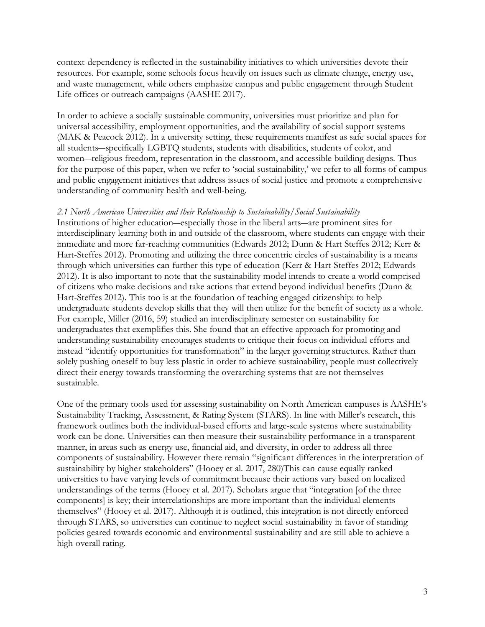context-dependency is reflected in the sustainability initiatives to which universities devote their resources. For example, some schools focus heavily on issues such as climate change, energy use, and waste management, while others emphasize campus and public engagement through Student Life offices or outreach campaigns (AASHE 2017).

In order to achieve a socially sustainable community, universities must prioritize and plan for universal accessibility, employment opportunities, and the availability of social support systems (MAK & Peacock 2012). In a university setting, these requirements manifest as safe social spaces for all students―specifically LGBTQ students, students with disabilities, students of color, and women―religious freedom, representation in the classroom, and accessible building designs. Thus for the purpose of this paper, when we refer to 'social sustainability,' we refer to all forms of campus and public engagement initiatives that address issues of social justice and promote a comprehensive understanding of community health and well-being.

### *2.1 North American Universities and their Relationship to Sustainability/Social Sustainability*

Institutions of higher education―especially those in the liberal arts―are prominent sites for interdisciplinary learning both in and outside of the classroom, where students can engage with their immediate and more far-reaching communities (Edwards 2012; Dunn & Hart Steffes 2012; Kerr & Hart-Steffes 2012). Promoting and utilizing the three concentric circles of sustainability is a means through which universities can further this type of education (Kerr & Hart-Steffes 2012; Edwards 2012). It is also important to note that the sustainability model intends to create a world comprised of citizens who make decisions and take actions that extend beyond individual benefits (Dunn & Hart-Steffes 2012). This too is at the foundation of teaching engaged citizenship: to help undergraduate students develop skills that they will then utilize for the benefit of society as a whole. For example, Miller (2016, 59) studied an interdisciplinary semester on sustainability for undergraduates that exemplifies this. She found that an effective approach for promoting and understanding sustainability encourages students to critique their focus on individual efforts and instead "identify opportunities for transformation" in the larger governing structures. Rather than solely pushing oneself to buy less plastic in order to achieve sustainability, people must collectively direct their energy towards transforming the overarching systems that are not themselves sustainable.

One of the primary tools used for assessing sustainability on North American campuses is AASHE's Sustainability Tracking, Assessment, & Rating System (STARS). In line with Miller's research, this framework outlines both the individual-based efforts and large-scale systems where sustainability work can be done. Universities can then measure their sustainability performance in a transparent manner, in areas such as energy use, financial aid, and diversity, in order to address all three components of sustainability. However there remain "significant differences in the interpretation of sustainability by higher stakeholders" (Hooey et al. 2017, 280)This can cause equally ranked universities to have varying levels of commitment because their actions vary based on localized understandings of the terms (Hooey et al. 2017). Scholars argue that "integration [of the three components] is key; their interrelationships are more important than the individual elements themselves" (Hooey et al. 2017). Although it is outlined, this integration is not directly enforced through STARS, so universities can continue to neglect social sustainability in favor of standing policies geared towards economic and environmental sustainability and are still able to achieve a high overall rating.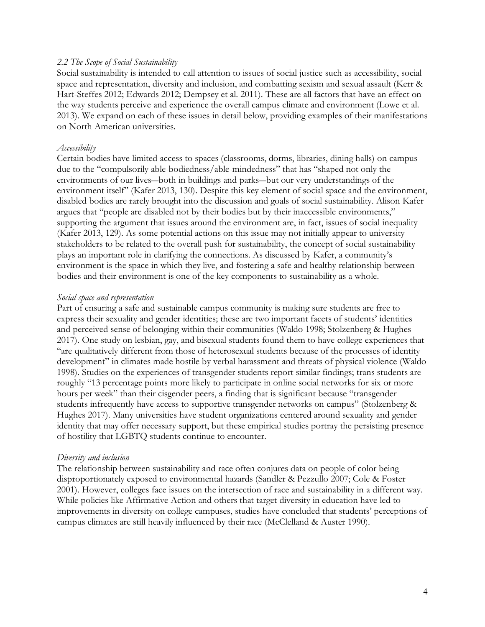### *2.2 The Scope of Social Sustainability*

Social sustainability is intended to call attention to issues of social justice such as accessibility, social space and representation, diversity and inclusion, and combatting sexism and sexual assault (Kerr & Hart-Steffes 2012; Edwards 2012; Dempsey et al. 2011). These are all factors that have an effect on the way students perceive and experience the overall campus climate and environment (Lowe et al. 2013). We expand on each of these issues in detail below, providing examples of their manifestations on North American universities.

#### *Accessibility*

Certain bodies have limited access to spaces (classrooms, dorms, libraries, dining halls) on campus due to the "compulsorily able-bodiedness/able-mindedness" that has "shaped not only the environments of our lives―both in buildings and parks―but our very understandings of the environment itself" (Kafer 2013, 130). Despite this key element of social space and the environment, disabled bodies are rarely brought into the discussion and goals of social sustainability. Alison Kafer argues that "people are disabled not by their bodies but by their inaccessible environments," supporting the argument that issues around the environment are, in fact, issues of social inequality (Kafer 2013, 129). As some potential actions on this issue may not initially appear to university stakeholders to be related to the overall push for sustainability, the concept of social sustainability plays an important role in clarifying the connections. As discussed by Kafer, a community's environment is the space in which they live, and fostering a safe and healthy relationship between bodies and their environment is one of the key components to sustainability as a whole.

#### *Social space and representation*

Part of ensuring a safe and sustainable campus community is making sure students are free to express their sexuality and gender identities; these are two important facets of students' identities and perceived sense of belonging within their communities (Waldo 1998; Stolzenberg & Hughes 2017). One study on lesbian, gay, and bisexual students found them to have college experiences that "are qualitatively different from those of heterosexual students because of the processes of identity development" in climates made hostile by verbal harassment and threats of physical violence (Waldo 1998). Studies on the experiences of transgender students report similar findings; trans students are roughly "13 percentage points more likely to participate in online social networks for six or more hours per week" than their cisgender peers, a finding that is significant because "transgender students infrequently have access to supportive transgender networks on campus" (Stolzenberg & Hughes 2017). Many universities have student organizations centered around sexuality and gender identity that may offer necessary support, but these empirical studies portray the persisting presence of hostility that LGBTQ students continue to encounter.

#### *Diversity and inclusion*

The relationship between sustainability and race often conjures data on people of color being disproportionately exposed to environmental hazards (Sandler & Pezzullo 2007; Cole & Foster 2001). However, colleges face issues on the intersection of race and sustainability in a different way. While policies like Affirmative Action and others that target diversity in education have led to improvements in diversity on college campuses, studies have concluded that students' perceptions of campus climates are still heavily influenced by their race (McClelland & Auster 1990).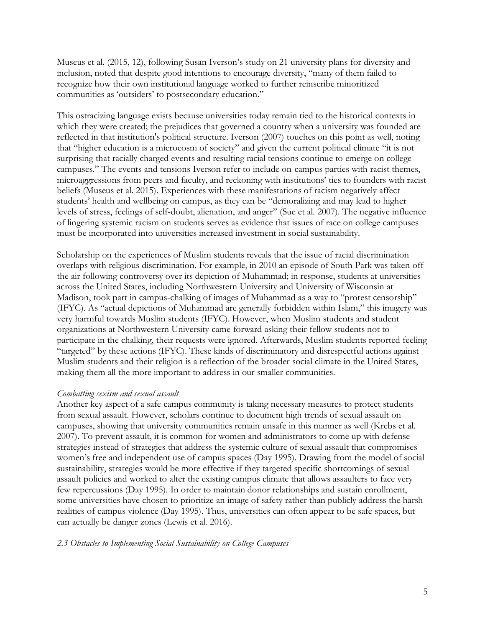Museus et al. (2015, 12), following Susan Iverson's study on 21 university plans for diversity and inclusion, noted that despite good intentions to encourage diversity, "many of them failed to recognize how their own institutional language worked to further reinscribe minoritized communities as 'outsiders' to postsecondary education."

This ostracizing language exists because universities today remain tied to the historical contexts in which they were created; the prejudices that governed a country when a university was founded are reflected in that institution's political structure. Iverson (2007) touches on this point as well, noting that "higher education is a microcosm of society" and given the current political climate "it is not surprising that racially charged events and resulting racial tensions continue to emerge on college campuses." The events and tensions Iverson refer to include on-campus parties with racist themes, microaggressions from peers and faculty, and reckoning with institutions' ties to founders with racist beliefs (Museus et al. 2015). Experiences with these manifestations of racism negatively affect students' health and wellbeing on campus, as they can be "demoralizing and may lead to higher levels of stress, feelings of self-doubt, alienation, and anger" (Sue et al. 2007). The negative influence of lingering systemic racism on students serves as evidence that issues of race on college campuses must be incorporated into universities increased investment in social sustainability.

Scholarship on the experiences of Muslim students reveals that the issue of racial discrimination overlaps with religious discrimination. For example, in 2010 an episode of South Park was taken off the air following controversy over its depiction of Muhammad; in response, students at universities across the United States, including Northwestern University and University of Wisconsin at Madison, took part in campus-chalking of images of Muhammad as a way to "protest censorship" (IFYC). As "actual depictions of Muhammad are generally forbidden within Islam," this imagery was very harmful towards Muslim students (IFYC). However, when Muslim students and student organizations at Northwestern University came forward asking their fellow students not to participate in the chalking, their requests were ignored. Afterwards, Muslim students reported feeling "targeted" by these actions (IFYC). These kinds of discriminatory and disrespectful actions against Muslim students and their religion is a reflection of the broader social climate in the United States, making them all the more important to address in our smaller communities.

### *Combatting sexism and sexual assault*

Another key aspect of a safe campus community is taking necessary measures to protect students from sexual assault. However, scholars continue to document high trends of sexual assault on campuses, showing that university communities remain unsafe in this manner as well (Krebs et al. 2007). To prevent assault, it is common for women and administrators to come up with defense strategies instead of strategies that address the systemic culture of sexual assault that compromises women's free and independent use of campus spaces (Day 1995). Drawing from the model of social sustainability, strategies would be more effective if they targeted specific shortcomings of sexual assault policies and worked to alter the existing campus climate that allows assaulters to face very few repercussions (Day 1995). In order to maintain donor relationships and sustain enrollment, some universities have chosen to prioritize an image of safety rather than publicly address the harsh realities of campus violence (Day 1995). Thus, universities can often appear to be safe spaces, but can actually be danger zones (Lewis et al. 2016).

#### *2.3 Obstacles to Implementing Social Sustainability on College Campuses*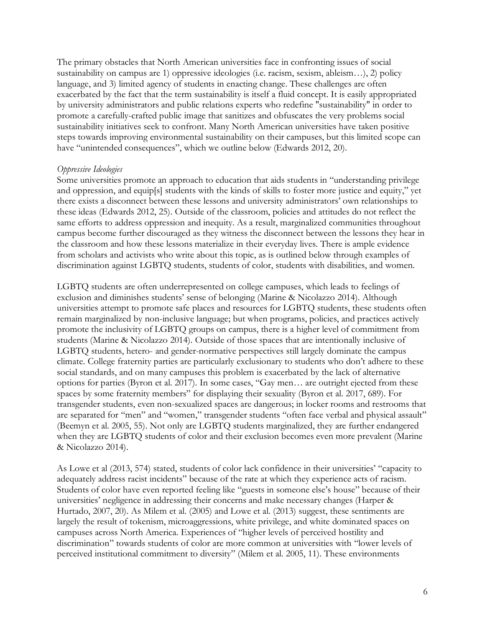The primary obstacles that North American universities face in confronting issues of social sustainability on campus are 1) oppressive ideologies (i.e. racism, sexism, ableism…), 2) policy language, and 3) limited agency of students in enacting change. These challenges are often exacerbated by the fact that the term sustainability is itself a fluid concept. It is easily appropriated by university administrators and public relations experts who redefine "sustainability" in order to promote a carefully-crafted public image that sanitizes and obfuscates the very problems social sustainability initiatives seek to confront. Many North American universities have taken positive steps towards improving environmental sustainability on their campuses, but this limited scope can have "unintended consequences", which we outline below (Edwards 2012, 20).

#### *Oppressive Ideologies*

Some universities promote an approach to education that aids students in "understanding privilege and oppression, and equip[s] students with the kinds of skills to foster more justice and equity," yet there exists a disconnect between these lessons and university administrators' own relationships to these ideas (Edwards 2012, 25). Outside of the classroom, policies and attitudes do not reflect the same efforts to address oppression and inequity. As a result, marginalized communities throughout campus become further discouraged as they witness the disconnect between the lessons they hear in the classroom and how these lessons materialize in their everyday lives. There is ample evidence from scholars and activists who write about this topic, as is outlined below through examples of discrimination against LGBTQ students, students of color, students with disabilities, and women.

LGBTQ students are often underrepresented on college campuses, which leads to feelings of exclusion and diminishes students' sense of belonging (Marine & Nicolazzo 2014). Although universities attempt to promote safe places and resources for LGBTQ students, these students often remain marginalized by non-inclusive language; but when programs, policies, and practices actively promote the inclusivity of LGBTQ groups on campus, there is a higher level of commitment from students (Marine & Nicolazzo 2014). Outside of those spaces that are intentionally inclusive of LGBTQ students, hetero- and gender-normative perspectives still largely dominate the campus climate. College fraternity parties are particularly exclusionary to students who don't adhere to these social standards, and on many campuses this problem is exacerbated by the lack of alternative options for parties (Byron et al. 2017). In some cases, "Gay men… are outright ejected from these spaces by some fraternity members" for displaying their sexuality (Byron et al. 2017, 689). For transgender students, even non-sexualized spaces are dangerous; in locker rooms and restrooms that are separated for "men" and "women," transgender students "often face verbal and physical assault" (Beemyn et al. 2005, 55). Not only are LGBTQ students marginalized, they are further endangered when they are LGBTQ students of color and their exclusion becomes even more prevalent (Marine & Nicolazzo 2014).

As Lowe et al (2013, 574) stated, students of color lack confidence in their universities' "capacity to adequately address racist incidents" because of the rate at which they experience acts of racism. Students of color have even reported feeling like "guests in someone else's house" because of their universities' negligence in addressing their concerns and make necessary changes (Harper & Hurtado, 2007, 20). As Milem et al. (2005) and Lowe et al. (2013) suggest, these sentiments are largely the result of tokenism, microaggressions, white privilege, and white dominated spaces on campuses across North America. Experiences of "higher levels of perceived hostility and discrimination" towards students of color are more common at universities with "lower levels of perceived institutional commitment to diversity" (Milem et al. 2005, 11). These environments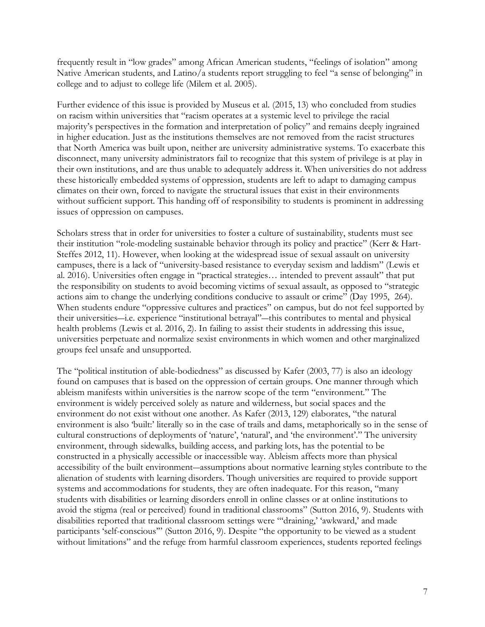frequently result in "low grades" among African American students, "feelings of isolation" among Native American students, and Latino/a students report struggling to feel "a sense of belonging" in college and to adjust to college life (Milem et al. 2005).

Further evidence of this issue is provided by Museus et al. (2015, 13) who concluded from studies on racism within universities that "racism operates at a systemic level to privilege the racial majority's perspectives in the formation and interpretation of policy" and remains deeply ingrained in higher education. Just as the institutions themselves are not removed from the racist structures that North America was built upon, neither are university administrative systems. To exacerbate this disconnect, many university administrators fail to recognize that this system of privilege is at play in their own institutions, and are thus unable to adequately address it. When universities do not address these historically embedded systems of oppression, students are left to adapt to damaging campus climates on their own, forced to navigate the structural issues that exist in their environments without sufficient support. This handing off of responsibility to students is prominent in addressing issues of oppression on campuses.

Scholars stress that in order for universities to foster a culture of sustainability, students must see their institution "role-modeling sustainable behavior through its policy and practice" (Kerr & Hart-Steffes 2012, 11). However, when looking at the widespread issue of sexual assault on university campuses, there is a lack of "university-based resistance to everyday sexism and laddism" (Lewis et al. 2016). Universities often engage in "practical strategies… intended to prevent assault" that put the responsibility on students to avoid becoming victims of sexual assault, as opposed to "strategic actions aim to change the underlying conditions conducive to assault or crime" (Day 1995, 264). When students endure "oppressive cultures and practices" on campus, but do not feel supported by their universities―i.e. experience "institutional betrayal"―this contributes to mental and physical health problems (Lewis et al. 2016, 2). In failing to assist their students in addressing this issue, universities perpetuate and normalize sexist environments in which women and other marginalized groups feel unsafe and unsupported.

The "political institution of able-bodiedness" as discussed by Kafer (2003, 77) is also an ideology found on campuses that is based on the oppression of certain groups. One manner through which ableism manifests within universities is the narrow scope of the term "environment." The environment is widely perceived solely as nature and wilderness, but social spaces and the environment do not exist without one another. As Kafer (2013, 129) elaborates, "the natural environment is also 'built:' literally so in the case of trails and dams, metaphorically so in the sense of cultural constructions of deployments of 'nature', 'natural', and 'the environment'." The university environment, through sidewalks, building access, and parking lots, has the potential to be constructed in a physically accessible or inaccessible way. Ableism affects more than physical accessibility of the built environment―assumptions about normative learning styles contribute to the alienation of students with learning disorders. Though universities are required to provide support systems and accommodations for students, they are often inadequate. For this reason, "many students with disabilities or learning disorders enroll in online classes or at online institutions to avoid the stigma (real or perceived) found in traditional classrooms" (Sutton 2016, 9). Students with disabilities reported that traditional classroom settings were "'draining,' 'awkward,' and made participants 'self-conscious'" (Sutton 2016, 9). Despite "the opportunity to be viewed as a student without limitations" and the refuge from harmful classroom experiences, students reported feelings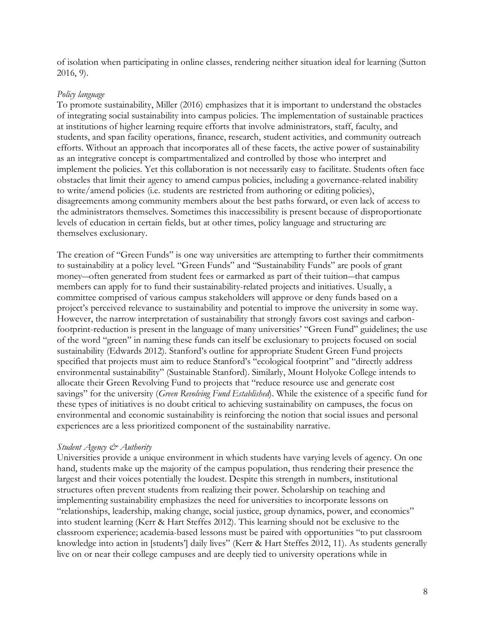of isolation when participating in online classes, rendering neither situation ideal for learning (Sutton 2016, 9).

## *Policy language*

To promote sustainability, Miller (2016) emphasizes that it is important to understand the obstacles of integrating social sustainability into campus policies. The implementation of sustainable practices at institutions of higher learning require efforts that involve administrators, staff, faculty, and students, and span facility operations, finance, research, student activities, and community outreach efforts. Without an approach that incorporates all of these facets, the active power of sustainability as an integrative concept is compartmentalized and controlled by those who interpret and implement the policies. Yet this collaboration is not necessarily easy to facilitate. Students often face obstacles that limit their agency to amend campus policies, including a governance-related inability to write/amend policies (i.e. students are restricted from authoring or editing policies), disagreements among community members about the best paths forward, or even lack of access to the administrators themselves. Sometimes this inaccessibility is present because of disproportionate levels of education in certain fields, but at other times, policy language and structuring are themselves exclusionary.

The creation of "Green Funds" is one way universities are attempting to further their commitments to sustainability at a policy level. "Green Funds" and "Sustainability Funds" are pools of grant money—often generated from student fees or earmarked as part of their tuition—that campus members can apply for to fund their sustainability-related projects and initiatives. Usually, a committee comprised of various campus stakeholders will approve or deny funds based on a project's perceived relevance to sustainability and potential to improve the university in some way. However, the narrow interpretation of sustainability that strongly favors cost savings and carbonfootprint-reduction is present in the language of many universities' "Green Fund" guidelines; the use of the word "green" in naming these funds can itself be exclusionary to projects focused on social sustainability (Edwards 2012). Stanford's outline for appropriate Student Green Fund projects specified that projects must aim to reduce Stanford's "ecological footprint" and "directly address environmental sustainability" (Sustainable Stanford). Similarly, Mount Holyoke College intends to allocate their Green Revolving Fund to projects that "reduce resource use and generate cost savings" for the university (*Green Revolving Fund Established*). While the existence of a specific fund for these types of initiatives is no doubt critical to achieving sustainability on campuses, the focus on environmental and economic sustainability is reinforcing the notion that social issues and personal experiences are a less prioritized component of the sustainability narrative.

## *Student Agency & Authority*

Universities provide a unique environment in which students have varying levels of agency. On one hand, students make up the majority of the campus population, thus rendering their presence the largest and their voices potentially the loudest. Despite this strength in numbers, institutional structures often prevent students from realizing their power. Scholarship on teaching and implementing sustainability emphasizes the need for universities to incorporate lessons on "relationships, leadership, making change, social justice, group dynamics, power, and economics" into student learning (Kerr & Hart Steffes 2012). This learning should not be exclusive to the classroom experience; academia-based lessons must be paired with opportunities "to put classroom knowledge into action in [students'] daily lives" (Kerr & Hart Steffes 2012, 11). As students generally live on or near their college campuses and are deeply tied to university operations while in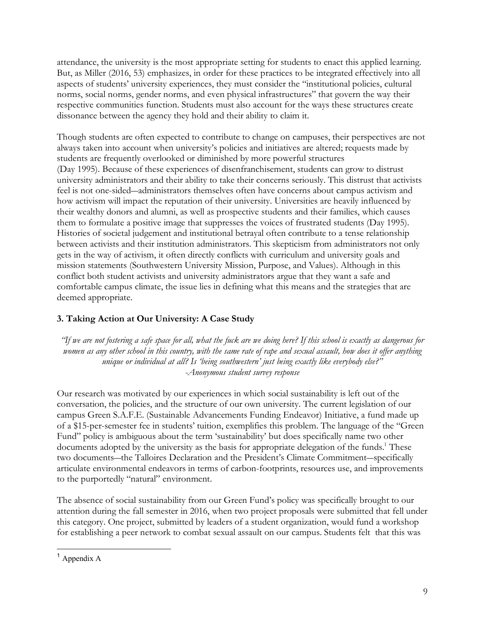attendance, the university is the most appropriate setting for students to enact this applied learning. But, as Miller (2016, 53) emphasizes, in order for these practices to be integrated effectively into all aspects of students' university experiences, they must consider the "institutional policies, cultural norms, social norms, gender norms, and even physical infrastructures" that govern the way their respective communities function. Students must also account for the ways these structures create dissonance between the agency they hold and their ability to claim it.

Though students are often expected to contribute to change on campuses, their perspectives are not always taken into account when university's policies and initiatives are altered; requests made by students are frequently overlooked or diminished by more powerful structures (Day 1995). Because of these experiences of disenfranchisement, students can grow to distrust university administrators and their ability to take their concerns seriously. This distrust that activists feel is not one-sided―administrators themselves often have concerns about campus activism and how activism will impact the reputation of their university. Universities are heavily influenced by their wealthy donors and alumni, as well as prospective students and their families, which causes them to formulate a positive image that suppresses the voices of frustrated students (Day 1995). Histories of societal judgement and institutional betrayal often contribute to a tense relationship between activists and their institution administrators. This skepticism from administrators not only gets in the way of activism, it often directly conflicts with curriculum and university goals and mission statements (Southwestern University Mission, Purpose, and Values). Although in this conflict both student activists and university administrators argue that they want a safe and comfortable campus climate, the issue lies in defining what this means and the strategies that are deemed appropriate.

# **3. Taking Action at Our University: A Case Study**

*"If we are not fostering a safe space for all, what the fuck are we doing here? If this school is exactly as dangerous for women as any other school in this country, with the same rate of rape and sexual assault, how does it offer anything unique or individual at all? Is 'being southwestern' just being exactly like everybody else?" -Anonymous student survey response*

Our research was motivated by our experiences in which social sustainability is left out of the conversation, the policies, and the structure of our own university. The current legislation of our campus Green S.A.F.E. (Sustainable Advancements Funding Endeavor) Initiative, a fund made up of a \$15-per-semester fee in students' tuition, exemplifies this problem. The language of the "Green Fund" policy is ambiguous about the term 'sustainability' but does specifically name two other documents adopted by the university as the basis for appropriate delegation of the funds.<sup>1</sup> These two documents―the Talloires Declaration and the President's Climate Commitment―specifically articulate environmental endeavors in terms of carbon-footprints, resources use, and improvements to the purportedly "natural" environment.

The absence of social sustainability from our Green Fund's policy was specifically brought to our attention during the fall semester in 2016, when two project proposals were submitted that fell under this category. One project, submitted by leaders of a student organization, would fund a workshop for establishing a peer network to combat sexual assault on our campus. Students felt that this was

 <sup>1</sup> Appendix A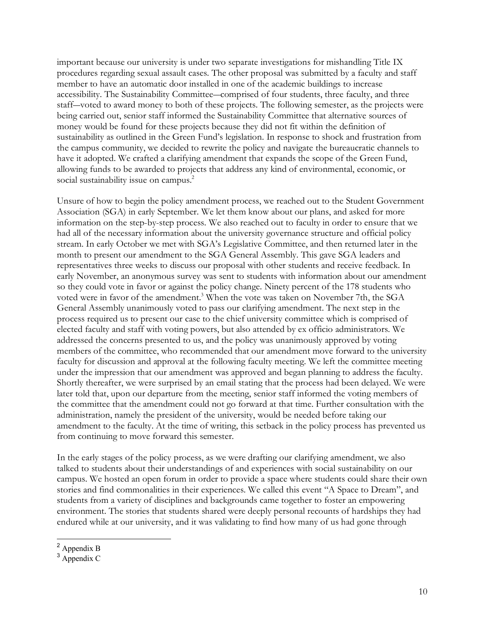important because our university is under two separate investigations for mishandling Title IX procedures regarding sexual assault cases. The other proposal was submitted by a faculty and staff member to have an automatic door installed in one of the academic buildings to increase accessibility. The Sustainability Committee―comprised of four students, three faculty, and three staff―voted to award money to both of these projects. The following semester, as the projects were being carried out, senior staff informed the Sustainability Committee that alternative sources of money would be found for these projects because they did not fit within the definition of sustainability as outlined in the Green Fund's legislation. In response to shock and frustration from the campus community, we decided to rewrite the policy and navigate the bureaucratic channels to have it adopted. We crafted a clarifying amendment that expands the scope of the Green Fund, allowing funds to be awarded to projects that address any kind of environmental, economic, or social sustainability issue on campus.<sup>2</sup>

Unsure of how to begin the policy amendment process, we reached out to the Student Government Association (SGA) in early September. We let them know about our plans, and asked for more information on the step-by-step process. We also reached out to faculty in order to ensure that we had all of the necessary information about the university governance structure and official policy stream. In early October we met with SGA's Legislative Committee, and then returned later in the month to present our amendment to the SGA General Assembly. This gave SGA leaders and representatives three weeks to discuss our proposal with other students and receive feedback. In early November, an anonymous survey was sent to students with information about our amendment so they could vote in favor or against the policy change. Ninety percent of the 178 students who voted were in favor of the amendment.<sup>3</sup> When the vote was taken on November 7th, the SGA General Assembly unanimously voted to pass our clarifying amendment. The next step in the process required us to present our case to the chief university committee which is comprised of elected faculty and staff with voting powers, but also attended by ex officio administrators. We addressed the concerns presented to us, and the policy was unanimously approved by voting members of the committee, who recommended that our amendment move forward to the university faculty for discussion and approval at the following faculty meeting. We left the committee meeting under the impression that our amendment was approved and began planning to address the faculty. Shortly thereafter, we were surprised by an email stating that the process had been delayed. We were later told that, upon our departure from the meeting, senior staff informed the voting members of the committee that the amendment could not go forward at that time. Further consultation with the administration, namely the president of the university, would be needed before taking our amendment to the faculty. At the time of writing, this setback in the policy process has prevented us from continuing to move forward this semester.

In the early stages of the policy process, as we were drafting our clarifying amendment, we also talked to students about their understandings of and experiences with social sustainability on our campus. We hosted an open forum in order to provide a space where students could share their own stories and find commonalities in their experiences. We called this event "A Space to Dream", and students from a variety of disciplines and backgrounds came together to foster an empowering environment. The stories that students shared were deeply personal recounts of hardships they had endured while at our university, and it was validating to find how many of us had gone through

 <sup>2</sup> Appendix B

<sup>&</sup>lt;sup>3</sup> Appendix C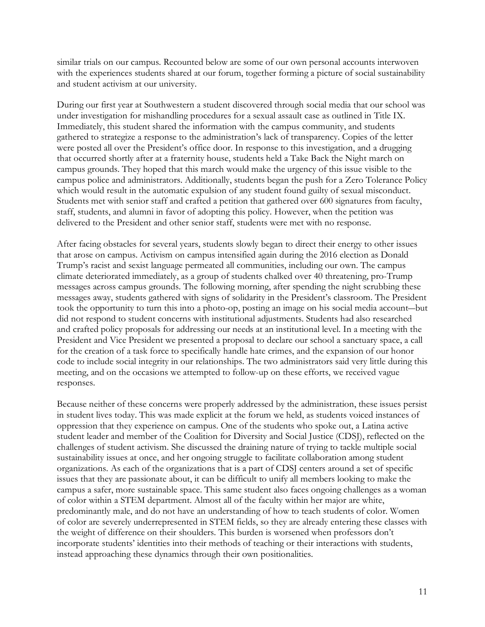similar trials on our campus. Recounted below are some of our own personal accounts interwoven with the experiences students shared at our forum, together forming a picture of social sustainability and student activism at our university.

During our first year at Southwestern a student discovered through social media that our school was under investigation for mishandling procedures for a sexual assault case as outlined in Title IX. Immediately, this student shared the information with the campus community, and students gathered to strategize a response to the administration's lack of transparency. Copies of the letter were posted all over the President's office door. In response to this investigation, and a drugging that occurred shortly after at a fraternity house, students held a Take Back the Night march on campus grounds. They hoped that this march would make the urgency of this issue visible to the campus police and administrators. Additionally, students began the push for a Zero Tolerance Policy which would result in the automatic expulsion of any student found guilty of sexual misconduct. Students met with senior staff and crafted a petition that gathered over 600 signatures from faculty, staff, students, and alumni in favor of adopting this policy. However, when the petition was delivered to the President and other senior staff, students were met with no response.

After facing obstacles for several years, students slowly began to direct their energy to other issues that arose on campus. Activism on campus intensified again during the 2016 election as Donald Trump's racist and sexist language permeated all communities, including our own. The campus climate deteriorated immediately, as a group of students chalked over 40 threatening, pro-Trump messages across campus grounds. The following morning, after spending the night scrubbing these messages away, students gathered with signs of solidarity in the President's classroom. The President took the opportunity to turn this into a photo-op, posting an image on his social media account―but did not respond to student concerns with institutional adjustments. Students had also researched and crafted policy proposals for addressing our needs at an institutional level. In a meeting with the President and Vice President we presented a proposal to declare our school a sanctuary space, a call for the creation of a task force to specifically handle hate crimes, and the expansion of our honor code to include social integrity in our relationships. The two administrators said very little during this meeting, and on the occasions we attempted to follow-up on these efforts, we received vague responses.

Because neither of these concerns were properly addressed by the administration, these issues persist in student lives today. This was made explicit at the forum we held, as students voiced instances of oppression that they experience on campus. One of the students who spoke out, a Latina active student leader and member of the Coalition for Diversity and Social Justice (CDSJ), reflected on the challenges of student activism. She discussed the draining nature of trying to tackle multiple social sustainability issues at once, and her ongoing struggle to facilitate collaboration among student organizations. As each of the organizations that is a part of CDSJ centers around a set of specific issues that they are passionate about, it can be difficult to unify all members looking to make the campus a safer, more sustainable space. This same student also faces ongoing challenges as a woman of color within a STEM department. Almost all of the faculty within her major are white, predominantly male, and do not have an understanding of how to teach students of color. Women of color are severely underrepresented in STEM fields, so they are already entering these classes with the weight of difference on their shoulders. This burden is worsened when professors don't incorporate students' identities into their methods of teaching or their interactions with students, instead approaching these dynamics through their own positionalities.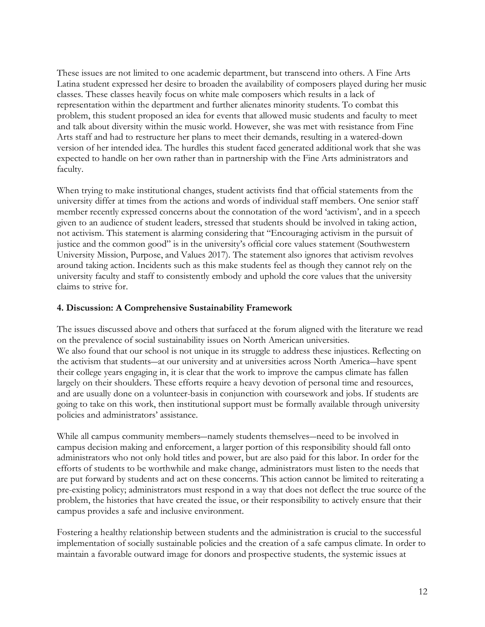These issues are not limited to one academic department, but transcend into others. A Fine Arts Latina student expressed her desire to broaden the availability of composers played during her music classes. These classes heavily focus on white male composers which results in a lack of representation within the department and further alienates minority students. To combat this problem, this student proposed an idea for events that allowed music students and faculty to meet and talk about diversity within the music world. However, she was met with resistance from Fine Arts staff and had to restructure her plans to meet their demands, resulting in a watered-down version of her intended idea. The hurdles this student faced generated additional work that she was expected to handle on her own rather than in partnership with the Fine Arts administrators and faculty.

When trying to make institutional changes, student activists find that official statements from the university differ at times from the actions and words of individual staff members. One senior staff member recently expressed concerns about the connotation of the word 'activism', and in a speech given to an audience of student leaders, stressed that students should be involved in taking action, not activism. This statement is alarming considering that "Encouraging activism in the pursuit of justice and the common good" is in the university's official core values statement (Southwestern University Mission, Purpose, and Values 2017). The statement also ignores that activism revolves around taking action. Incidents such as this make students feel as though they cannot rely on the university faculty and staff to consistently embody and uphold the core values that the university claims to strive for.

## **4. Discussion: A Comprehensive Sustainability Framework**

The issues discussed above and others that surfaced at the forum aligned with the literature we read on the prevalence of social sustainability issues on North American universities. We also found that our school is not unique in its struggle to address these injustices. Reflecting on the activism that students―at our university and at universities across North America―have spent their college years engaging in, it is clear that the work to improve the campus climate has fallen largely on their shoulders. These efforts require a heavy devotion of personal time and resources, and are usually done on a volunteer-basis in conjunction with coursework and jobs. If students are going to take on this work, then institutional support must be formally available through university policies and administrators' assistance.

While all campus community members―namely students themselves―need to be involved in campus decision making and enforcement, a larger portion of this responsibility should fall onto administrators who not only hold titles and power, but are also paid for this labor. In order for the efforts of students to be worthwhile and make change, administrators must listen to the needs that are put forward by students and act on these concerns. This action cannot be limited to reiterating a pre-existing policy; administrators must respond in a way that does not deflect the true source of the problem, the histories that have created the issue, or their responsibility to actively ensure that their campus provides a safe and inclusive environment.

Fostering a healthy relationship between students and the administration is crucial to the successful implementation of socially sustainable policies and the creation of a safe campus climate. In order to maintain a favorable outward image for donors and prospective students, the systemic issues at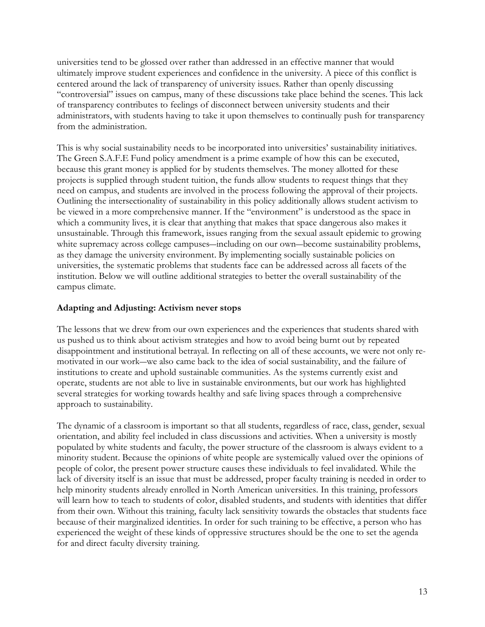universities tend to be glossed over rather than addressed in an effective manner that would ultimately improve student experiences and confidence in the university. A piece of this conflict is centered around the lack of transparency of university issues. Rather than openly discussing "controversial" issues on campus, many of these discussions take place behind the scenes. This lack of transparency contributes to feelings of disconnect between university students and their administrators, with students having to take it upon themselves to continually push for transparency from the administration.

This is why social sustainability needs to be incorporated into universities' sustainability initiatives. The Green S.A.F.E Fund policy amendment is a prime example of how this can be executed, because this grant money is applied for by students themselves. The money allotted for these projects is supplied through student tuition, the funds allow students to request things that they need on campus, and students are involved in the process following the approval of their projects. Outlining the intersectionality of sustainability in this policy additionally allows student activism to be viewed in a more comprehensive manner. If the "environment" is understood as the space in which a community lives, it is clear that anything that makes that space dangerous also makes it unsustainable. Through this framework, issues ranging from the sexual assault epidemic to growing white supremacy across college campuses—including on our own—become sustainability problems, as they damage the university environment. By implementing socially sustainable policies on universities, the systematic problems that students face can be addressed across all facets of the institution. Below we will outline additional strategies to better the overall sustainability of the campus climate.

## **Adapting and Adjusting: Activism never stops**

The lessons that we drew from our own experiences and the experiences that students shared with us pushed us to think about activism strategies and how to avoid being burnt out by repeated disappointment and institutional betrayal. In reflecting on all of these accounts, we were not only remotivated in our work―we also came back to the idea of social sustainability, and the failure of institutions to create and uphold sustainable communities. As the systems currently exist and operate, students are not able to live in sustainable environments, but our work has highlighted several strategies for working towards healthy and safe living spaces through a comprehensive approach to sustainability.

The dynamic of a classroom is important so that all students, regardless of race, class, gender, sexual orientation, and ability feel included in class discussions and activities. When a university is mostly populated by white students and faculty, the power structure of the classroom is always evident to a minority student. Because the opinions of white people are systemically valued over the opinions of people of color, the present power structure causes these individuals to feel invalidated. While the lack of diversity itself is an issue that must be addressed, proper faculty training is needed in order to help minority students already enrolled in North American universities. In this training, professors will learn how to teach to students of color, disabled students, and students with identities that differ from their own. Without this training, faculty lack sensitivity towards the obstacles that students face because of their marginalized identities. In order for such training to be effective, a person who has experienced the weight of these kinds of oppressive structures should be the one to set the agenda for and direct faculty diversity training.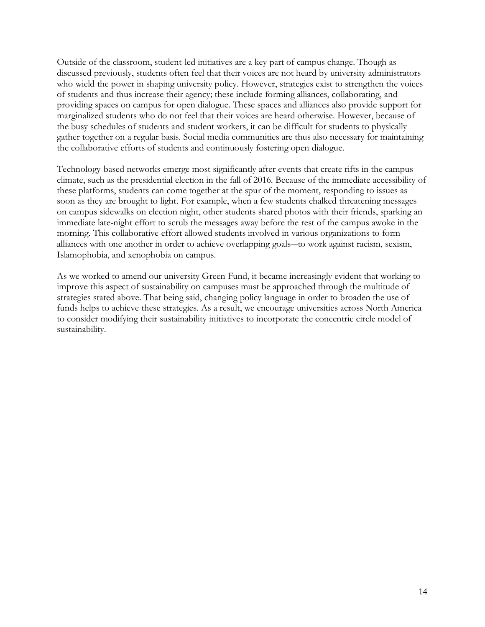Outside of the classroom, student-led initiatives are a key part of campus change. Though as discussed previously, students often feel that their voices are not heard by university administrators who wield the power in shaping university policy. However, strategies exist to strengthen the voices of students and thus increase their agency; these include forming alliances, collaborating, and providing spaces on campus for open dialogue. These spaces and alliances also provide support for marginalized students who do not feel that their voices are heard otherwise. However, because of the busy schedules of students and student workers, it can be difficult for students to physically gather together on a regular basis. Social media communities are thus also necessary for maintaining the collaborative efforts of students and continuously fostering open dialogue.

Technology-based networks emerge most significantly after events that create rifts in the campus climate, such as the presidential election in the fall of 2016. Because of the immediate accessibility of these platforms, students can come together at the spur of the moment, responding to issues as soon as they are brought to light. For example, when a few students chalked threatening messages on campus sidewalks on election night, other students shared photos with their friends, sparking an immediate late-night effort to scrub the messages away before the rest of the campus awoke in the morning. This collaborative effort allowed students involved in various organizations to form alliances with one another in order to achieve overlapping goals―to work against racism, sexism, Islamophobia, and xenophobia on campus.

As we worked to amend our university Green Fund, it became increasingly evident that working to improve this aspect of sustainability on campuses must be approached through the multitude of strategies stated above. That being said, changing policy language in order to broaden the use of funds helps to achieve these strategies. As a result, we encourage universities across North America to consider modifying their sustainability initiatives to incorporate the concentric circle model of sustainability.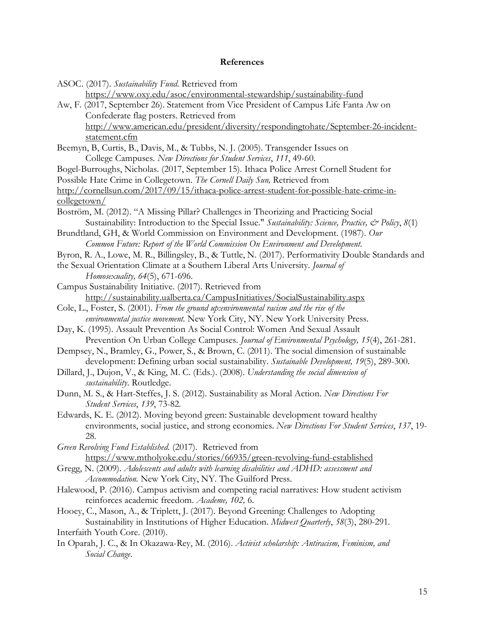#### **References**

ASOC. (2017). *Sustainability Fund*. Retrieved from

https://www.oxy.edu/asoc/environmental-stewardship/sustainability-fund

- Aw, F. (2017, September 26). Statement from Vice President of Campus Life Fanta Aw on Confederate flag posters. Retrieved from http://www.american.edu/president/diversity/respondingtohate/September-26-incidentstatement.cfm
- Beemyn, B, Curtis, B., Davis, M., & Tubbs, N. J. (2005). Transgender Issues on College Campuses. *New Directions for Student Services*, *111*, 49-60.
- Bogel-Burroughs, Nicholas. (2017, September 15). Ithaca Police Arrest Cornell Student for

Possible Hate Crime in Collegetown. *The Cornell Daily Sun,* Retrieved from

http://cornellsun.com/2017/09/15/ithaca-police-arrest-student-for-possible-hate-crime-incollegetown/

Boström, M. (2012). "A Missing Pillar? Challenges in Theorizing and Practicing Social Sustainability: Introduction to the Special Issue." *Sustainability: Science, Practice, & Policy*, *8*(1)

Brundtland, GH, & World Commission on Environment and Development. (1987). *Our Common Future: Report of the World Commission On Environment and Development.*

Byron, R. A., Lowe, M. R., Billingsley, B., & Tuttle, N. (2017). Performativity Double Standards and

the Sexual Orientation Climate at a Southern Liberal Arts University. *Journal of Homosexuality, 64*(5), 671-696.

Campus Sustainability Initiative. (2017). Retrieved from http://sustainability.ualberta.ca/CampusInitiatives/SocialSustainability.aspx

- Cole, L., Foster, S. (2001). *From the ground up:environmental racism and the rise of the environmental justice movement.* New York City, NY. New York University Press.
- Day, K. (1995). Assault Prevention As Social Control: Women And Sexual Assault Prevention On Urban College Campuses. *Journal of Environmental Psychology, 15*(4), 261-281.

Dempsey, N., Bramley, G., Power, S., & Brown, C. (2011). The social dimension of sustainable development: Defining urban social sustainability. *Sustainable Development, 19*(5), 289-300.

- Dillard, J., Dujon, V., & King, M. C. (Eds.). (2008). *Understanding the social dimension of sustainability*. Routledge.
- Dunn, M. S., & Hart-Steffes, J. S. (2012). Sustainability as Moral Action. *New Directions For Student Services*, *139*, 73-82.
- Edwards, K. E. (2012). Moving beyond green: Sustainable development toward healthy environments, social justice, and strong economies. *New Directions For Student Services*, *137*, 19- 28.
- *Green Revolving Fund Established.* (2017)*.* Retrieved from https://www.mtholyoke.edu/stories/66935/green-revolving-fund-established
- Gregg, N. (2009). *Adolescents and adults with learning disabilities and ADHD: assessment and Accommodation.* New York City, NY. The Guilford Press.
- Halewood, P. (2016). Campus activism and competing racial narratives: How student activism reinforces academic freedom. *Academe, 102,* 6.
- Hooey, C., Mason, A., & Triplett, J. (2017). Beyond Greening: Challenges to Adopting Sustainability in Institutions of Higher Education. *Midwest Quarterly*, *58*(3), 280-291. Interfaith Youth Core. (2010).
- In Oparah, J. C., & In Okazawa-Rey, M. (2016). *Activist scholarship: Antiracism, Feminism, and Social Change*.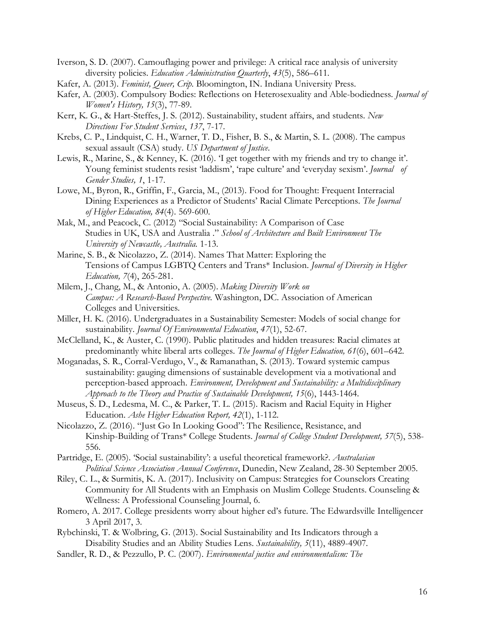- Iverson, S. D. (2007). Camouflaging power and privilege: A critical race analysis of university diversity policies. *Education Administration Quarterly*, *43*(5), 586–611.
- Kafer, A. (2013). *Feminist, Queer, Crip*. Bloomington, IN. Indiana University Press.
- Kafer, A. (2003). Compulsory Bodies: Reflections on Heterosexuality and Able-bodiedness. *Journal of Women's History, 15*(3), 77-89.
- Kerr, K. G., & Hart-Steffes, J. S. (2012). Sustainability, student affairs, and students. *New Directions For Student Services*, *137*, 7-17.
- Krebs, C. P., Lindquist, C. H., Warner, T. D., Fisher, B. S., & Martin, S. L. (2008). The campus sexual assault (CSA) study. *US Department of Justice*.
- Lewis, R., Marine, S., & Kenney, K. (2016). 'I get together with my friends and try to change it'. Young feminist students resist 'laddism', 'rape culture' and 'everyday sexism'. *Journal of Gender Studies, 1*, 1-17.
- Lowe, M., Byron, R., Griffin, F., Garcia, M., (2013). Food for Thought: Frequent Interracial Dining Experiences as a Predictor of Students' Racial Climate Perceptions. *The Journal of Higher Education, 84*(4). 569-600.
- Mak, M., and Peacock, C. (2012) "Social Sustainability: A Comparison of Case Studies in UK, USA and Australia ." *School of Architecture and Built Environment The University of Newcastle, Australia.* 1-13.
- Marine, S. B., & Nicolazzo, Z. (2014). Names That Matter: Exploring the Tensions of Campus LGBTQ Centers and Trans\* Inclusion. *Journal of Diversity in Higher Education, 7*(4), 265-281.
- Milem, J., Chang, M., & Antonio, A. (2005). *Making Diversity Work on Campus: A Research-Based Perspective.* Washington, DC. Association of American Colleges and Universities.
- Miller, H. K. (2016). Undergraduates in a Sustainability Semester: Models of social change for sustainability. *Journal Of Environmental Education*, *47*(1), 52-67.
- McClelland, K., & Auster, C. (1990). Public platitudes and hidden treasures: Racial climates at predominantly white liberal arts colleges. *The Journal of Higher Education, 61*(6), 601–642.
- Moganadas, S. R., Corral-Verdugo, V., & Ramanathan, S. (2013). Toward systemic campus sustainability: gauging dimensions of sustainable development via a motivational and perception-based approach. *Environment, Development and Sustainability: a Multidisciplinary Approach to the Theory and Practice of Sustainable Development, 15*(6), 1443-1464.
- Museus, S. D., Ledesma, M. C., & Parker, T. L. (2015). Racism and Racial Equity in Higher Education. *Ashe Higher Education Report, 42*(1), 1-112.
- Nicolazzo, Z. (2016). "Just Go In Looking Good": The Resilience, Resistance, and Kinship-Building of Trans\* College Students. *Journal of College Student Development, 57*(5), 538- 556.
- Partridge, E. (2005). 'Social sustainability': a useful theoretical framework?. *Australasian Political Science Association Annual Conference*, Dunedin, New Zealand, 28-30 September 2005.
- Riley, C. L., & Surmitis, K. A. (2017). Inclusivity on Campus: Strategies for Counselors Creating Community for All Students with an Emphasis on Muslim College Students. Counseling & Wellness: A Professional Counseling Journal, 6.
- Romero, A. 2017. College presidents worry about higher ed's future. The Edwardsville Intelligencer 3 April 2017, 3.
- Rybchinski, T. & Wolbring, G. (2013). Social Sustainability and Its Indicators through a Disability Studies and an Ability Studies Lens. *Sustainability, 5*(11), 4889-4907.
- Sandler, R. D., & Pezzullo, P. C. (2007). *Environmental justice and environmentalism: The*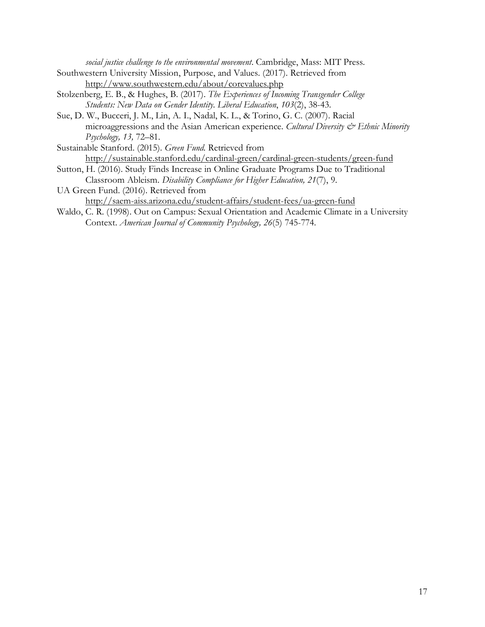*social justice challenge to the environmental movement*. Cambridge, Mass: MIT Press.

- Southwestern University Mission, Purpose, and Values. (2017). Retrieved from http://www.southwestern.edu/about/corevalues.php
- Stolzenberg, E. B., & Hughes, B. (2017). *The Experiences of Incoming Transgender College Students: New Data on Gender Identity. Liberal Education*, *103*(2), 38-43.
- Sue, D. W., Bucceri, J. M., Lin, A. I., Nadal, K. L., & Torino, G. C. (2007). Racial microaggressions and the Asian American experience. *Cultural Diversity & Ethnic Minority Psychology, 13,* 72–81.
- Sustainable Stanford. (2015). *Green Fund.* Retrieved from http://sustainable.stanford.edu/cardinal-green/cardinal-green-students/green-fund
- Sutton, H. (2016). Study Finds Increase in Online Graduate Programs Due to Traditional Classroom Ableism. *Disability Compliance for Higher Education, 21*(7), 9.
- UA Green Fund. (2016). Retrieved from http://saem-aiss.arizona.edu/student-affairs/student-fees/ua-green-fund
- Waldo, C. R. (1998). Out on Campus: Sexual Orientation and Academic Climate in a University Context. *American Journal of Community Psychology, 26*(5) 745-774.